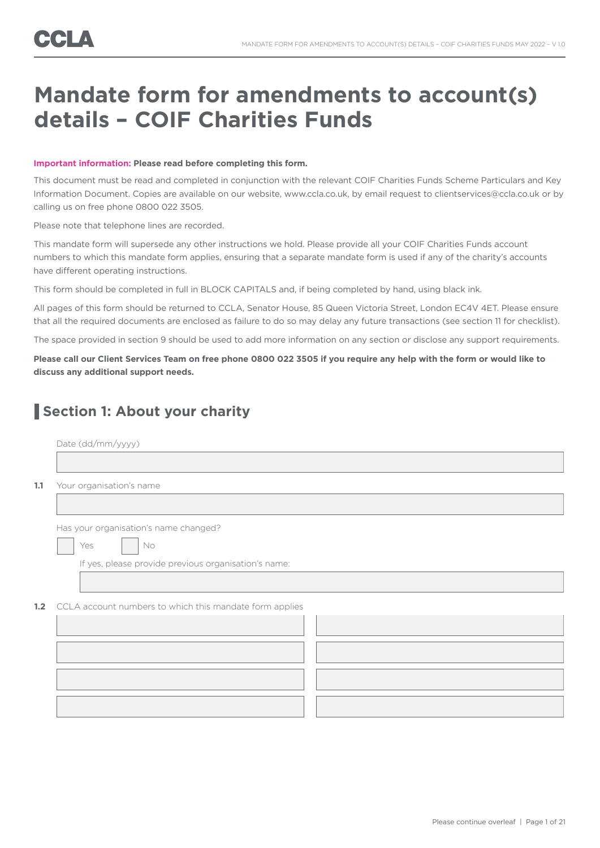## **Mandate form for amendments to account(s) details – COIF Charities Funds**

### **Important information: Please read before completing this form.**

This document must be read and completed in conjunction with the relevant COIF Charities Funds Scheme Particulars and Key Information Document. Copies are available on our website, www.ccla.co.uk, by email request to clientservices@ccla.co.uk or by calling us on free phone 0800 022 3505.

Please note that telephone lines are recorded.

This mandate form will supersede any other instructions we hold. Please provide all your COIF Charities Funds account numbers to which this mandate form applies, ensuring that a separate mandate form is used if any of the charity's accounts have different operating instructions.

This form should be completed in full in BLOCK CAPITALS and, if being completed by hand, using black ink.

All pages of this form should be returned to CCLA, Senator House, 85 Queen Victoria Street, London EC4V 4ET. Please ensure that all the required documents are enclosed as failure to do so may delay any future transactions (see section 11 for checklist).

The space provided in section 9 should be used to add more information on any section or disclose any support requirements.

**Please call our Client Services Team on free phone 0800 022 3505 if you require any help with the form or would like to discuss any additional support needs.**

### **Section 1: About your charity**

|                  | Date (dd/mm/yyyy)                                       |
|------------------|---------------------------------------------------------|
|                  |                                                         |
| 1.1              | Your organisation's name                                |
|                  |                                                         |
|                  | Has your organisation's name changed?                   |
|                  | Yes<br>No                                               |
|                  | If yes, please provide previous organisation's name:    |
|                  |                                                         |
| 1.2 <sub>2</sub> | CCLA account numbers to which this mandate form applies |
|                  |                                                         |
|                  |                                                         |
|                  |                                                         |
|                  |                                                         |
|                  |                                                         |
|                  |                                                         |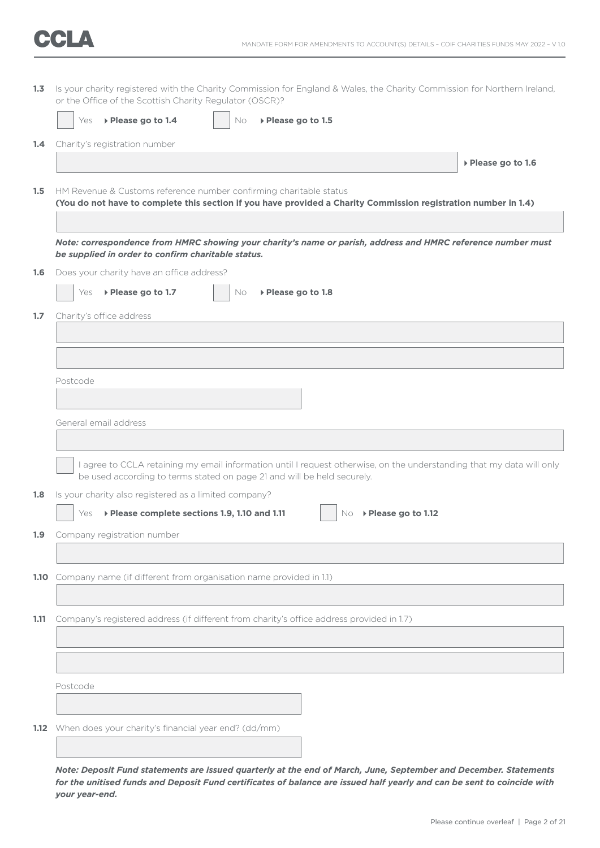| 1.3  | Is your charity registered with the Charity Commission for England & Wales, the Charity Commission for Northern Ireland,<br>or the Office of the Scottish Charity Regulator (OSCR)?              |
|------|--------------------------------------------------------------------------------------------------------------------------------------------------------------------------------------------------|
|      | ▶ Please go to 1.4<br>No<br>▶ Please go to 1.5<br>Yes                                                                                                                                            |
| 1.4  | Charity's registration number                                                                                                                                                                    |
|      | ▶ Please go to 1.6                                                                                                                                                                               |
| 1.5  | HM Revenue & Customs reference number confirming charitable status<br>(You do not have to complete this section if you have provided a Charity Commission registration number in 1.4)            |
|      | Note: correspondence from HMRC showing your charity's name or parish, address and HMRC reference number must<br>be supplied in order to confirm charitable status.                               |
| 1.6  | Does your charity have an office address?                                                                                                                                                        |
|      | ▶ Please go to 1.7<br>▶ Please go to 1.8<br>Yes<br>No.                                                                                                                                           |
| 1.7  | Charity's office address                                                                                                                                                                         |
|      |                                                                                                                                                                                                  |
|      |                                                                                                                                                                                                  |
|      | Postcode                                                                                                                                                                                         |
|      |                                                                                                                                                                                                  |
|      | General email address                                                                                                                                                                            |
|      |                                                                                                                                                                                                  |
|      | I agree to CCLA retaining my email information until I request otherwise, on the understanding that my data will only<br>be used according to terms stated on page 21 and will be held securely. |
| 1.8  | Is your charity also registered as a limited company?                                                                                                                                            |
|      | ▶ Please complete sections 1.9, 1.10 and 1.11<br>▶ Please go to 1.12<br>Yes<br>No.                                                                                                               |
|      | 1.9 Company registration number                                                                                                                                                                  |
|      |                                                                                                                                                                                                  |
|      | 1.10 Company name (if different from organisation name provided in 1.1)                                                                                                                          |
|      |                                                                                                                                                                                                  |
| 1.11 | Company's registered address (if different from charity's office address provided in 1.7)                                                                                                        |
|      |                                                                                                                                                                                                  |
|      |                                                                                                                                                                                                  |
|      | Postcode                                                                                                                                                                                         |
|      |                                                                                                                                                                                                  |
|      | 1.12 When does your charity's financial year end? (dd/mm)                                                                                                                                        |
|      |                                                                                                                                                                                                  |
|      |                                                                                                                                                                                                  |

*Note: Deposit Fund statements are issued quarterly at the end of March, June, September and December. Statements for the unitised funds and Deposit Fund certificates of balance are issued half yearly and can be sent to coincide with your year-end.*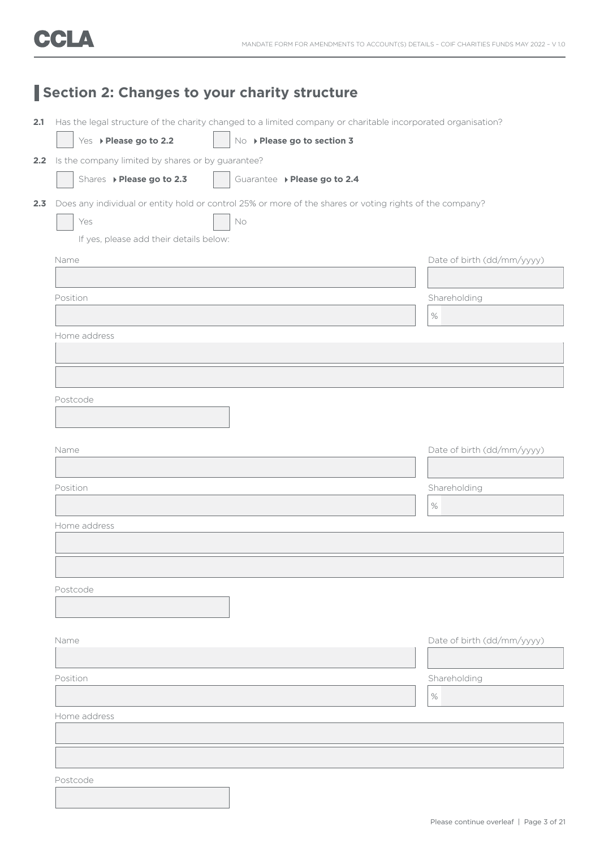| Section 2: Changes to your charity structure |                                                       |                                                                                                              |                            |
|----------------------------------------------|-------------------------------------------------------|--------------------------------------------------------------------------------------------------------------|----------------------------|
| 2.1                                          |                                                       | Has the legal structure of the charity changed to a limited company or charitable incorporated organisation? |                            |
|                                              | Yes > Please go to 2.2                                | No > Please go to section 3                                                                                  |                            |
|                                              | 2.2 Is the company limited by shares or by guarantee? |                                                                                                              |                            |
|                                              | Shares > Please go to 2.3                             | Guarantee ▶ Please go to 2.4                                                                                 |                            |
| 2.3                                          |                                                       | Does any individual or entity hold or control 25% or more of the shares or voting rights of the company?     |                            |
|                                              | Yes                                                   | No                                                                                                           |                            |
|                                              | If yes, please add their details below:               |                                                                                                              |                            |
|                                              | Name                                                  |                                                                                                              | Date of birth (dd/mm/yyyy) |
|                                              |                                                       |                                                                                                              |                            |
|                                              | Position                                              |                                                                                                              | Shareholding               |
|                                              |                                                       |                                                                                                              | $\%$                       |
|                                              | Home address                                          |                                                                                                              |                            |
|                                              |                                                       |                                                                                                              |                            |
|                                              |                                                       |                                                                                                              |                            |
|                                              |                                                       |                                                                                                              |                            |
|                                              | Postcode                                              |                                                                                                              |                            |
|                                              |                                                       |                                                                                                              |                            |
|                                              | Name                                                  |                                                                                                              | Date of birth (dd/mm/yyyy) |
|                                              |                                                       |                                                                                                              |                            |
|                                              | Position                                              |                                                                                                              | Shareholding               |
|                                              |                                                       |                                                                                                              | $\%$                       |
|                                              | Home address                                          |                                                                                                              |                            |
|                                              |                                                       |                                                                                                              |                            |
|                                              |                                                       |                                                                                                              |                            |
|                                              |                                                       |                                                                                                              |                            |
|                                              | Postcode                                              |                                                                                                              |                            |
|                                              |                                                       |                                                                                                              |                            |
|                                              | Name                                                  |                                                                                                              | Date of birth (dd/mm/yyyy) |
|                                              |                                                       |                                                                                                              |                            |
|                                              | Position                                              |                                                                                                              | Shareholding               |
|                                              |                                                       |                                                                                                              | $\%$                       |
|                                              | Home address                                          |                                                                                                              |                            |
|                                              |                                                       |                                                                                                              |                            |
|                                              |                                                       |                                                                                                              |                            |
|                                              |                                                       |                                                                                                              |                            |
|                                              | Postcode                                              |                                                                                                              |                            |
|                                              |                                                       |                                                                                                              |                            |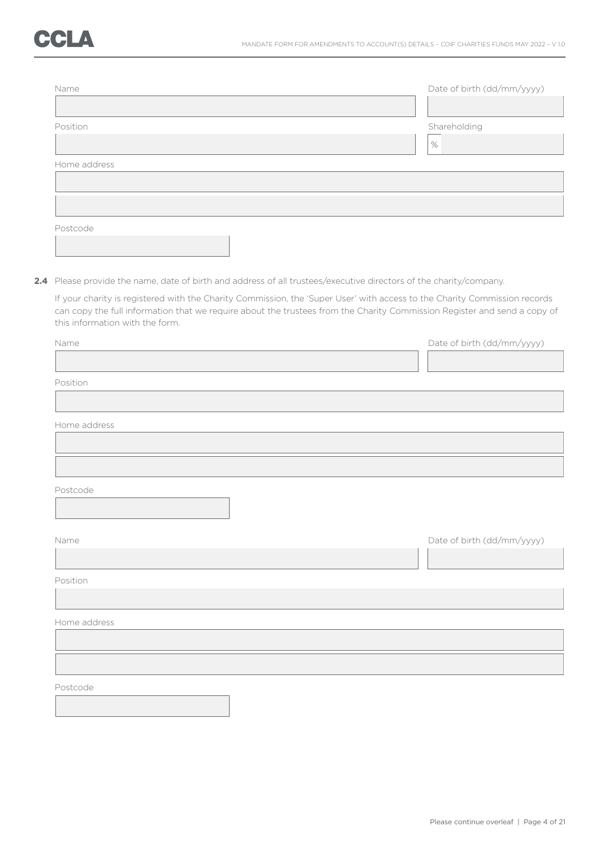| Name         | Date of birth (dd/mm/yyyy) |
|--------------|----------------------------|
|              |                            |
| Position     | Shareholding               |
|              | $\%$                       |
| Home address |                            |
|              |                            |
|              |                            |
| Postcode     |                            |
|              |                            |

**2.4** Please provide the name, date of birth and address of all trustees/executive directors of the charity/company.

 If your charity is registered with the Charity Commission, the 'Super User' with access to the Charity Commission records can copy the full information that we require about the trustees from the Charity Commission Register and send a copy of this information with the form.

| Name         | Date of birth (dd/mm/yyyy) |
|--------------|----------------------------|
|              |                            |
| Position     |                            |
|              |                            |
| Home address |                            |
|              |                            |
|              |                            |
| Postcode     |                            |
|              |                            |
|              |                            |
| Name         | Date of birth (dd/mm/yyyy) |
|              |                            |
| Position     |                            |
|              |                            |
| Home address |                            |
|              |                            |
|              |                            |
| Postcode     |                            |
|              |                            |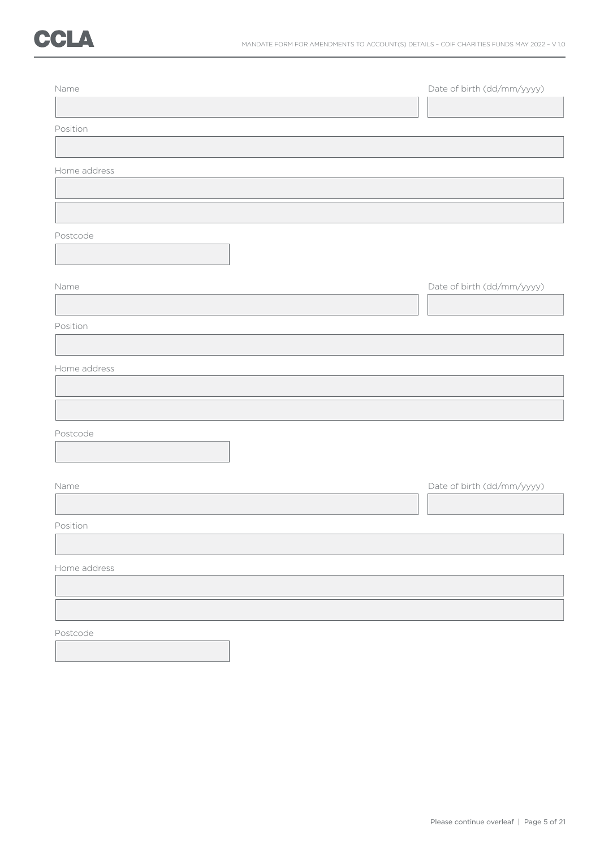| Name         | Date of birth (dd/mm/yyyy) |
|--------------|----------------------------|
|              |                            |
| Position     |                            |
| Home address |                            |
|              |                            |
|              |                            |
| Postcode     |                            |
| Name         | Date of birth (dd/mm/yyyy) |
| Position     |                            |
| Home address |                            |
|              |                            |
| Postcode     |                            |
| Name         | Date of birth (dd/mm/yyyy) |
| Position     |                            |
| Home address |                            |
|              |                            |
| Postcode     |                            |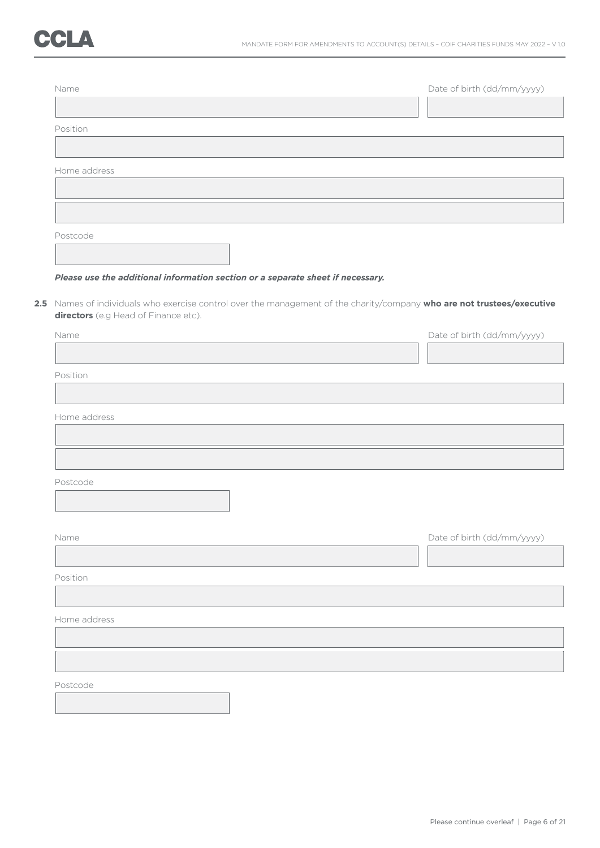| Name         | Date of birth (dd/mm/yyyy) |
|--------------|----------------------------|
| Position     |                            |
|              |                            |
| Home address |                            |
|              |                            |
|              |                            |
| Postcode     |                            |

### *Please use the additional information section or a separate sheet if necessary.*

**2.5** Names of individuals who exercise control over the management of the charity/company **who are not trustees/executive directors** (e.g Head of Finance etc).

| Name         | Date of birth (dd/mm/yyyy) |
|--------------|----------------------------|
|              |                            |
| Position     |                            |
|              |                            |
|              |                            |
| Home address |                            |
|              |                            |
|              |                            |
|              |                            |
| Postcode     |                            |
|              |                            |
|              |                            |
| Name         | Date of birth (dd/mm/yyyy) |
|              |                            |
|              |                            |
| Position     |                            |
|              |                            |
| Home address |                            |
|              |                            |
|              |                            |
|              |                            |
| Postcode     |                            |
|              |                            |
|              |                            |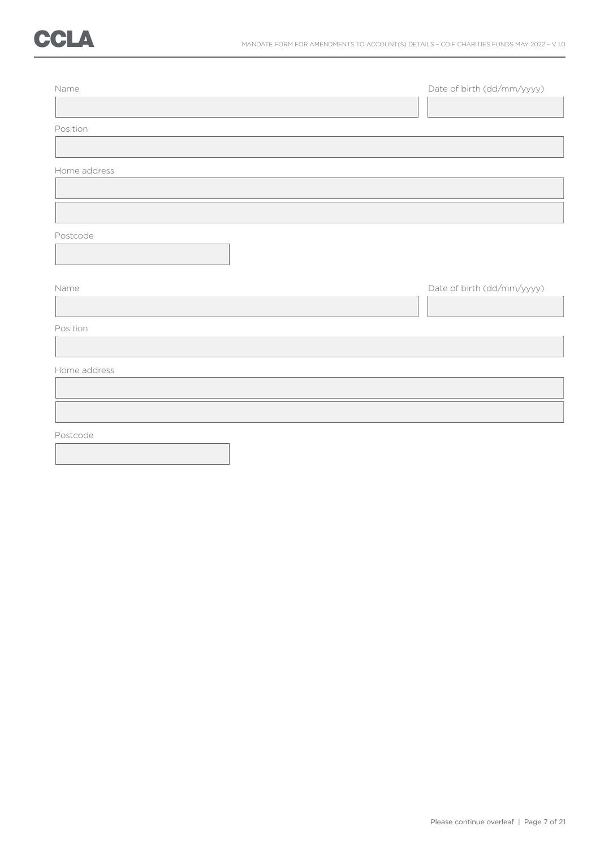| Name         | Date of birth (dd/mm/yyyy) |
|--------------|----------------------------|
|              |                            |
| Position     |                            |
|              |                            |
| Home address |                            |
|              |                            |
|              |                            |
| Postcode     |                            |
|              |                            |
|              |                            |
| Name         | Date of birth (dd/mm/yyyy) |
|              |                            |
| Position     |                            |
|              |                            |
| Home address |                            |
|              |                            |
|              |                            |
| Postcode     |                            |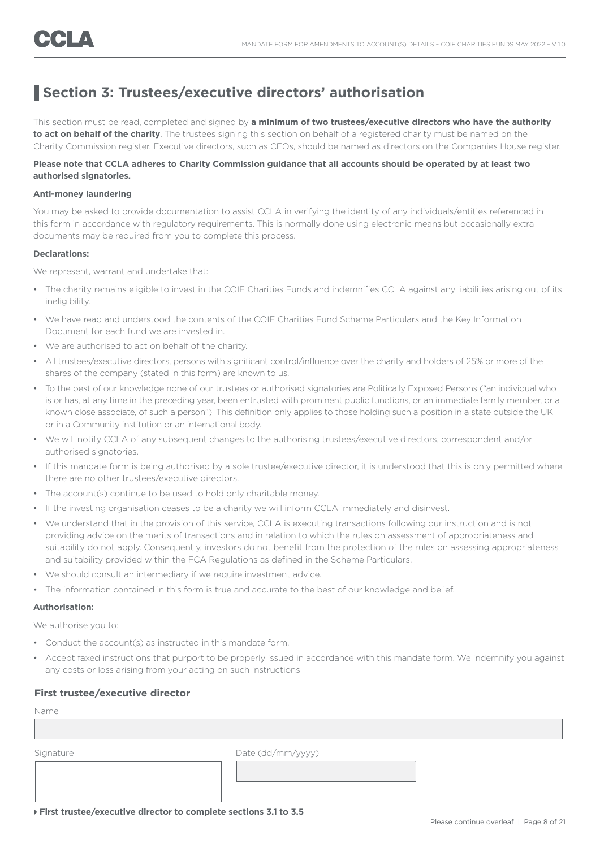### **Section 3: Trustees/executive directors' authorisation**

This section must be read, completed and signed by **a minimum of two trustees/executive directors who have the authority to act on behalf of the charity**. The trustees signing this section on behalf of a registered charity must be named on the Charity Commission register. Executive directors, such as CEOs, should be named as directors on the Companies House register.

### **Please note that CCLA adheres to Charity Commission guidance that all accounts should be operated by at least two authorised signatories.**

#### **Anti-money laundering**

You may be asked to provide documentation to assist CCLA in verifying the identity of any individuals/entities referenced in this form in accordance with regulatory requirements. This is normally done using electronic means but occasionally extra documents may be required from you to complete this process.

#### **Declarations:**

We represent, warrant and undertake that:

- The charity remains eligible to invest in the COIF Charities Funds and indemnifies CCLA against any liabilities arising out of its ineligibility.
- We have read and understood the contents of the COIF Charities Fund Scheme Particulars and the Key Information Document for each fund we are invested in.
- We are authorised to act on behalf of the charity.
- All trustees/executive directors, persons with significant control/influence over the charity and holders of 25% or more of the shares of the company (stated in this form) are known to us.
- To the best of our knowledge none of our trustees or authorised signatories are Politically Exposed Persons ("an individual who is or has, at any time in the preceding year, been entrusted with prominent public functions, or an immediate family member, or a known close associate, of such a person"). This definition only applies to those holding such a position in a state outside the UK, or in a Community institution or an international body.
- We will notify CCLA of any subsequent changes to the authorising trustees/executive directors, correspondent and/or authorised signatories.
- If this mandate form is being authorised by a sole trustee/executive director, it is understood that this is only permitted where there are no other trustees/executive directors.
- The account(s) continue to be used to hold only charitable money.
- If the investing organisation ceases to be a charity we will inform CCLA immediately and disinvest.
- We understand that in the provision of this service, CCLA is executing transactions following our instruction and is not providing advice on the merits of transactions and in relation to which the rules on assessment of appropriateness and suitability do not apply. Consequently, investors do not benefit from the protection of the rules on assessing appropriateness and suitability provided within the FCA Regulations as defined in the Scheme Particulars.
- We should consult an intermediary if we require investment advice.
- The information contained in this form is true and accurate to the best of our knowledge and belief.

#### **Authorisation:**

We authorise you to:

- Conduct the account(s) as instructed in this mandate form.
- Accept faxed instructions that purport to be properly issued in accordance with this mandate form. We indemnify you against any costs or loss arising from your acting on such instructions.

### **First trustee/executive director**

Name

Signature Date (dd/mm/yyyy)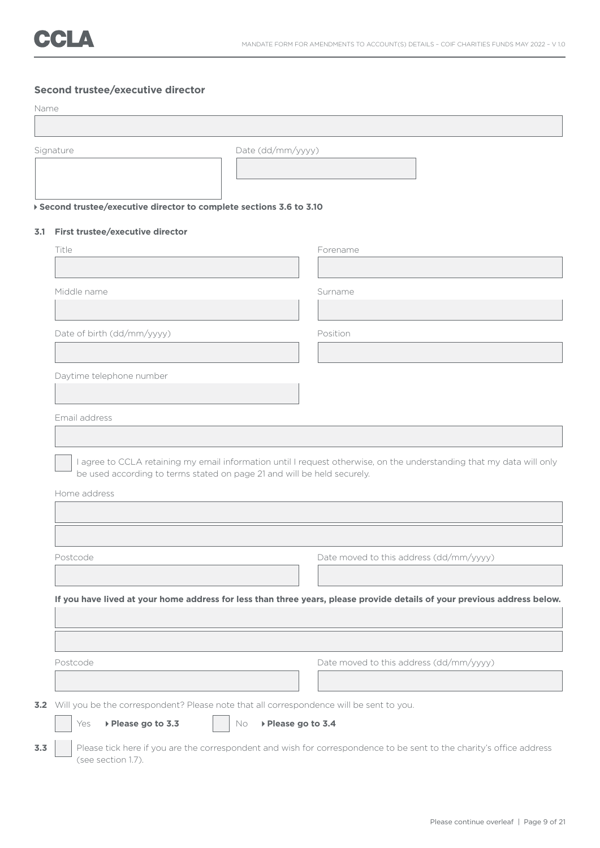|      | Second trustee/executive director                                                       |                                                                                                                       |
|------|-----------------------------------------------------------------------------------------|-----------------------------------------------------------------------------------------------------------------------|
| Name |                                                                                         |                                                                                                                       |
|      |                                                                                         |                                                                                                                       |
|      | Date (dd/mm/yyyy)<br>Signature                                                          |                                                                                                                       |
|      | ▶ Second trustee/executive director to complete sections 3.6 to 3.10                    |                                                                                                                       |
|      | 3.1 First trustee/executive director                                                    |                                                                                                                       |
|      | Title                                                                                   | Forename                                                                                                              |
|      |                                                                                         |                                                                                                                       |
|      | Middle name                                                                             | Surname                                                                                                               |
|      |                                                                                         |                                                                                                                       |
|      | Date of birth (dd/mm/yyyy)                                                              | Position                                                                                                              |
|      |                                                                                         |                                                                                                                       |
|      | Daytime telephone number                                                                |                                                                                                                       |
|      |                                                                                         |                                                                                                                       |
|      | Email address                                                                           |                                                                                                                       |
|      |                                                                                         |                                                                                                                       |
|      | be used according to terms stated on page 21 and will be held securely.<br>Home address | I agree to CCLA retaining my email information until I request otherwise, on the understanding that my data will only |
|      |                                                                                         |                                                                                                                       |
|      |                                                                                         |                                                                                                                       |
|      | Postcode                                                                                | Date moved to this address (dd/mm/yyyy)                                                                               |
|      |                                                                                         |                                                                                                                       |

### **If you have lived at your home address for less than three years, please provide details of your previous address below.**

Postcode Date moved to this address (dd/mm/yyyy) **3.2** Will you be the correspondent? Please note that all correspondence will be sent to you.

- Yes **Please go to 3.3** No **Please go to 3.4** 
	-
- **3.3** Please tick here if you are the correspondent and wish for correspondence to be sent to the charity's office address (see section 1.7).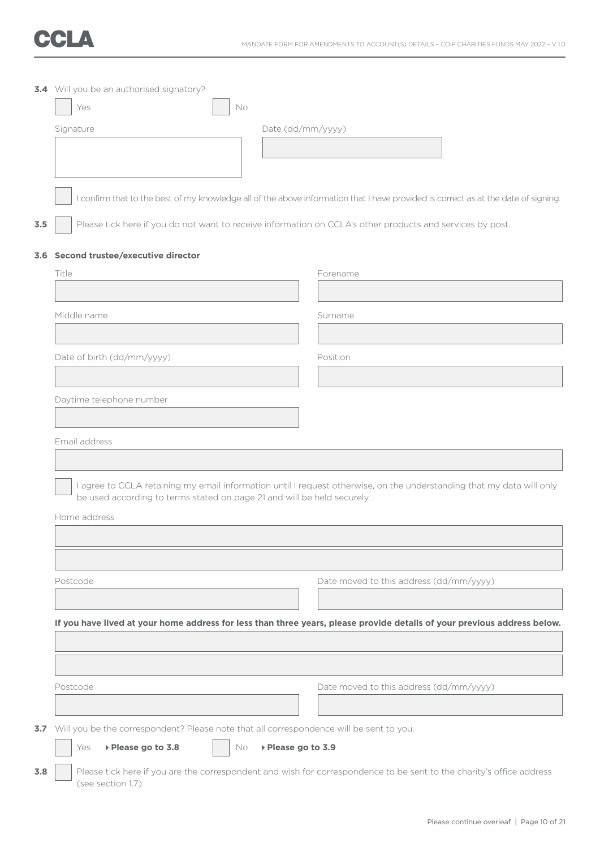

|     | 3.4 Will you be an authorised signatory?                                                                                                                                                         |                    |                                         |  |  |
|-----|--------------------------------------------------------------------------------------------------------------------------------------------------------------------------------------------------|--------------------|-----------------------------------------|--|--|
|     | Yes<br>No                                                                                                                                                                                        |                    |                                         |  |  |
|     | Signature                                                                                                                                                                                        | Date (dd/mm/yyyy)  |                                         |  |  |
|     |                                                                                                                                                                                                  |                    |                                         |  |  |
|     |                                                                                                                                                                                                  |                    |                                         |  |  |
|     |                                                                                                                                                                                                  |                    |                                         |  |  |
|     | I confirm that to the best of my knowledge all of the above information that I have provided is correct as at the date of signing.                                                               |                    |                                         |  |  |
| 3.5 | Please tick here if you do not want to receive information on CCLA's other products and services by post.                                                                                        |                    |                                         |  |  |
|     |                                                                                                                                                                                                  |                    |                                         |  |  |
|     | 3.6 Second trustee/executive director                                                                                                                                                            |                    |                                         |  |  |
|     | Title                                                                                                                                                                                            |                    | Forename                                |  |  |
|     |                                                                                                                                                                                                  |                    |                                         |  |  |
|     | Middle name                                                                                                                                                                                      |                    | Surname                                 |  |  |
|     |                                                                                                                                                                                                  |                    |                                         |  |  |
|     | Date of birth (dd/mm/yyyy)                                                                                                                                                                       |                    | Position                                |  |  |
|     |                                                                                                                                                                                                  |                    |                                         |  |  |
|     | Daytime telephone number                                                                                                                                                                         |                    |                                         |  |  |
|     |                                                                                                                                                                                                  |                    |                                         |  |  |
|     | Email address                                                                                                                                                                                    |                    |                                         |  |  |
|     |                                                                                                                                                                                                  |                    |                                         |  |  |
|     |                                                                                                                                                                                                  |                    |                                         |  |  |
|     | I agree to CCLA retaining my email information until I request otherwise, on the understanding that my data will only<br>be used according to terms stated on page 21 and will be held securely. |                    |                                         |  |  |
|     | Home address                                                                                                                                                                                     |                    |                                         |  |  |
|     |                                                                                                                                                                                                  |                    |                                         |  |  |
|     |                                                                                                                                                                                                  |                    |                                         |  |  |
|     |                                                                                                                                                                                                  |                    |                                         |  |  |
|     | Postcode                                                                                                                                                                                         |                    | Date moved to this address (dd/mm/yyyy) |  |  |
|     |                                                                                                                                                                                                  |                    |                                         |  |  |
|     | If you have lived at your home address for less than three years, please provide details of your previous address below.                                                                         |                    |                                         |  |  |
|     |                                                                                                                                                                                                  |                    |                                         |  |  |
|     |                                                                                                                                                                                                  |                    |                                         |  |  |
|     | Postcode                                                                                                                                                                                         |                    | Date moved to this address (dd/mm/yyyy) |  |  |
|     |                                                                                                                                                                                                  |                    |                                         |  |  |
| 3.7 | Will you be the correspondent? Please note that all correspondence will be sent to you.                                                                                                          |                    |                                         |  |  |
|     | ▶ Please go to 3.8<br>Yes<br>No                                                                                                                                                                  | ▶ Please go to 3.9 |                                         |  |  |
|     |                                                                                                                                                                                                  |                    |                                         |  |  |
| 3.8 | Please tick here if you are the correspondent and wish for correspondence to be sent to the charity's office address<br>(see section 1.7).                                                       |                    |                                         |  |  |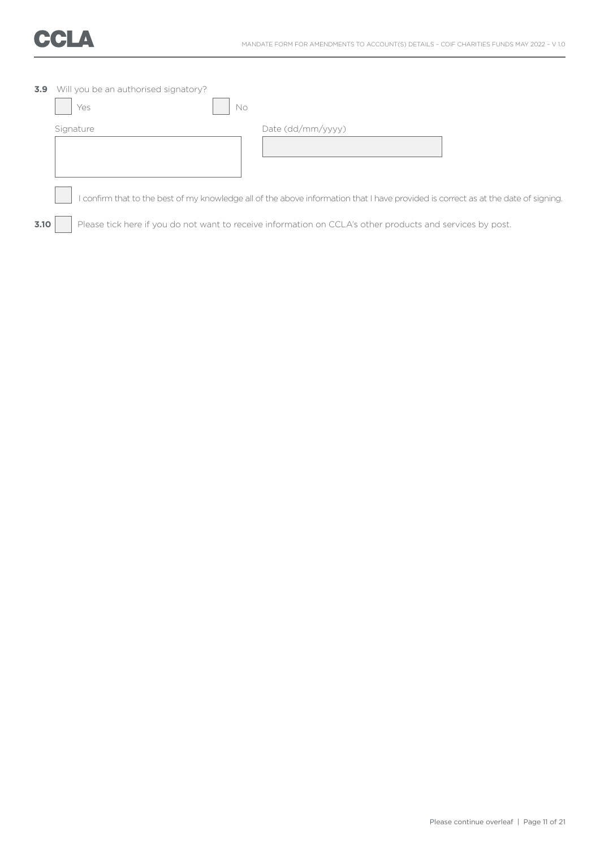

| 3.9  | Will you be an authorised signatory?<br>No.<br>Yes |                                                                                                                                  |
|------|----------------------------------------------------|----------------------------------------------------------------------------------------------------------------------------------|
|      | Signature                                          | Date (dd/mm/yyyy)                                                                                                                |
|      |                                                    | confirm that to the best of my knowledge all of the above information that I have provided is correct as at the date of signing. |
| 3.10 |                                                    | Please tick here if you do not want to receive information on CCLA's other products and services by post.                        |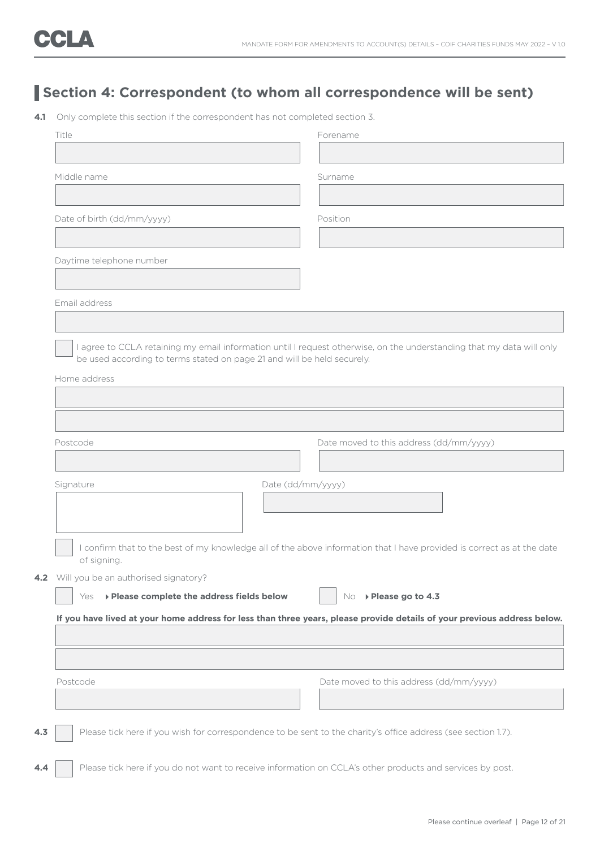### **Section 4: Correspondent (to whom all correspondence will be sent)**

**4.1** Only complete this section if the correspondent has not completed section 3.

| Title                                                                                                                    | Forename                                                                                                               |
|--------------------------------------------------------------------------------------------------------------------------|------------------------------------------------------------------------------------------------------------------------|
|                                                                                                                          |                                                                                                                        |
| Middle name                                                                                                              | Surname                                                                                                                |
|                                                                                                                          |                                                                                                                        |
| Date of birth (dd/mm/yyyy)                                                                                               | Position                                                                                                               |
|                                                                                                                          |                                                                                                                        |
| Daytime telephone number                                                                                                 |                                                                                                                        |
|                                                                                                                          |                                                                                                                        |
| Email address                                                                                                            |                                                                                                                        |
|                                                                                                                          |                                                                                                                        |
|                                                                                                                          | I agree to CCLA retaining my email information until I request otherwise, on the understanding that my data will only  |
| be used according to terms stated on page 21 and will be held securely.                                                  |                                                                                                                        |
| Home address                                                                                                             |                                                                                                                        |
|                                                                                                                          |                                                                                                                        |
|                                                                                                                          |                                                                                                                        |
| Postcode                                                                                                                 | Date moved to this address (dd/mm/yyyy)                                                                                |
|                                                                                                                          |                                                                                                                        |
| Date (dd/mm/yyyy)<br>Signature                                                                                           |                                                                                                                        |
|                                                                                                                          |                                                                                                                        |
|                                                                                                                          |                                                                                                                        |
|                                                                                                                          |                                                                                                                        |
| of signing.                                                                                                              | I confirm that to the best of my knowledge all of the above information that I have provided is correct as at the date |
|                                                                                                                          |                                                                                                                        |
| Will you be an authorised signatory?                                                                                     |                                                                                                                        |
| ▶ Please complete the address fields below<br>Yes                                                                        | ▶ Please go to 4.3<br>No.                                                                                              |
| If you have lived at your home address for less than three years, please provide details of your previous address below. |                                                                                                                        |
|                                                                                                                          |                                                                                                                        |
|                                                                                                                          |                                                                                                                        |
|                                                                                                                          |                                                                                                                        |
| Postcode                                                                                                                 | Date moved to this address (dd/mm/yyyy)                                                                                |
|                                                                                                                          |                                                                                                                        |
| Please tick here if you wish for correspondence to be sent to the charity's office address (see section 1.7).            |                                                                                                                        |
|                                                                                                                          |                                                                                                                        |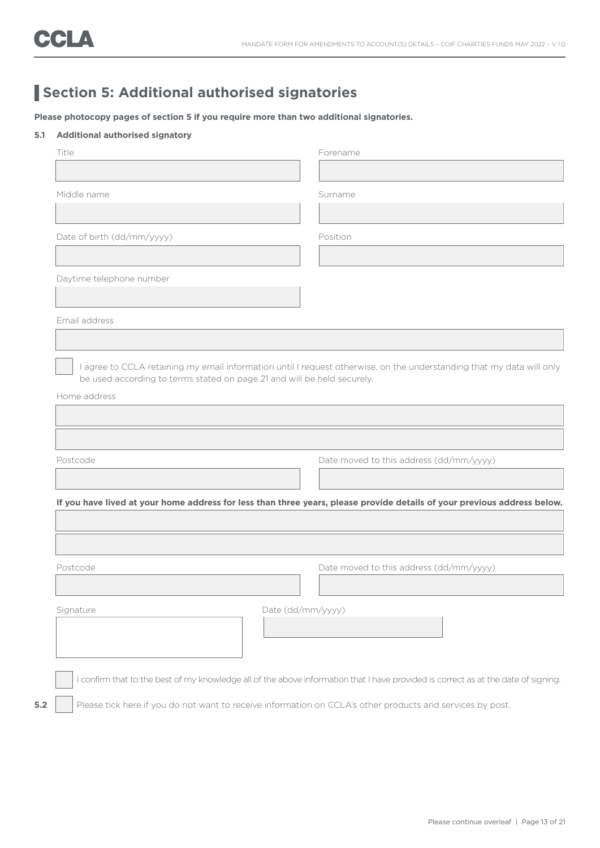### **Section 5: Additional authorised signatories**

**Please photocopy pages of section 5 if you require more than two additional signatories.**

#### **5.1 Additional authorised signatory**

| Title                                                                   | Forename                                                                                                                           |
|-------------------------------------------------------------------------|------------------------------------------------------------------------------------------------------------------------------------|
|                                                                         |                                                                                                                                    |
| Middle name                                                             | Surname                                                                                                                            |
|                                                                         |                                                                                                                                    |
| Date of birth (dd/mm/yyyy)                                              | Position                                                                                                                           |
|                                                                         |                                                                                                                                    |
| Daytime telephone number                                                |                                                                                                                                    |
|                                                                         |                                                                                                                                    |
| Email address                                                           |                                                                                                                                    |
|                                                                         |                                                                                                                                    |
| be used according to terms stated on page 21 and will be held securely. | I agree to CCLA retaining my email information until I request otherwise, on the understanding that my data will only              |
| Home address                                                            |                                                                                                                                    |
|                                                                         |                                                                                                                                    |
|                                                                         |                                                                                                                                    |
| Postcode                                                                | Date moved to this address (dd/mm/yyyy)                                                                                            |
|                                                                         |                                                                                                                                    |
|                                                                         | If you have lived at your home address for less than three years, please provide details of your previous address below.           |
|                                                                         |                                                                                                                                    |
|                                                                         |                                                                                                                                    |
| Postcode                                                                | Date moved to this address (dd/mm/yyyy)                                                                                            |
|                                                                         |                                                                                                                                    |
| Signature                                                               | Date (dd/mm/yyyy)                                                                                                                  |
|                                                                         |                                                                                                                                    |
|                                                                         |                                                                                                                                    |
|                                                                         |                                                                                                                                    |
|                                                                         |                                                                                                                                    |
|                                                                         | I confirm that to the best of my knowledge all of the above information that I have provided is correct as at the date of signing. |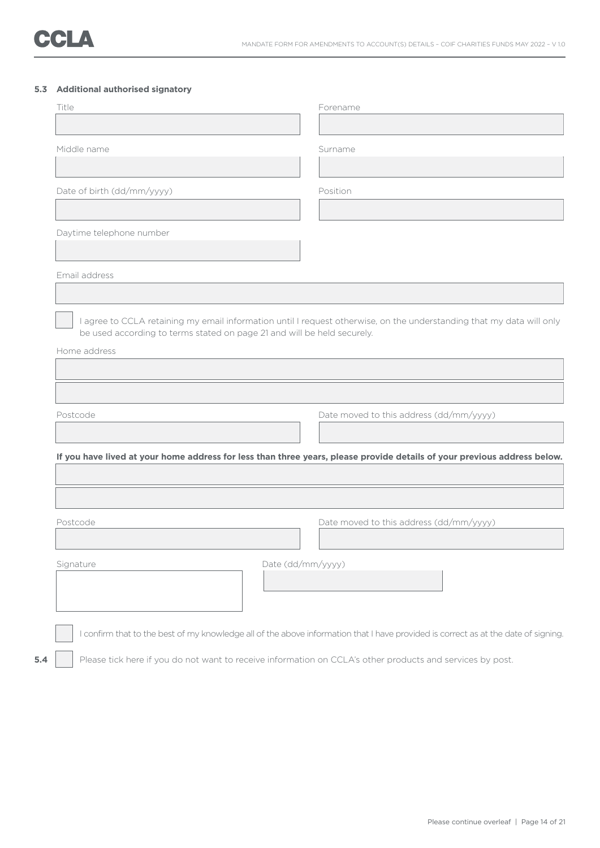### **5.3 Additional authorised signatory**

| Title                                                                                   |                   | Forename                                                                                                                           |
|-----------------------------------------------------------------------------------------|-------------------|------------------------------------------------------------------------------------------------------------------------------------|
|                                                                                         |                   |                                                                                                                                    |
| Middle name                                                                             |                   | Surname                                                                                                                            |
| Date of birth (dd/mm/yyyy)                                                              |                   | Position                                                                                                                           |
|                                                                                         |                   |                                                                                                                                    |
| Daytime telephone number                                                                |                   |                                                                                                                                    |
|                                                                                         |                   |                                                                                                                                    |
| Email address                                                                           |                   |                                                                                                                                    |
| be used according to terms stated on page 21 and will be held securely.<br>Home address |                   |                                                                                                                                    |
|                                                                                         |                   |                                                                                                                                    |
|                                                                                         |                   |                                                                                                                                    |
| Postcode                                                                                |                   | Date moved to this address (dd/mm/yyyy)                                                                                            |
|                                                                                         |                   |                                                                                                                                    |
|                                                                                         |                   |                                                                                                                                    |
|                                                                                         |                   |                                                                                                                                    |
|                                                                                         |                   | If you have lived at your home address for less than three years, please provide details of your previous address below.           |
| Postcode                                                                                |                   | Date moved to this address (dd/mm/yyyy)                                                                                            |
| Signature                                                                               | Date (dd/mm/yyyy) |                                                                                                                                    |
|                                                                                         |                   |                                                                                                                                    |
|                                                                                         |                   | I confirm that to the best of my knowledge all of the above information that I have provided is correct as at the date of signing. |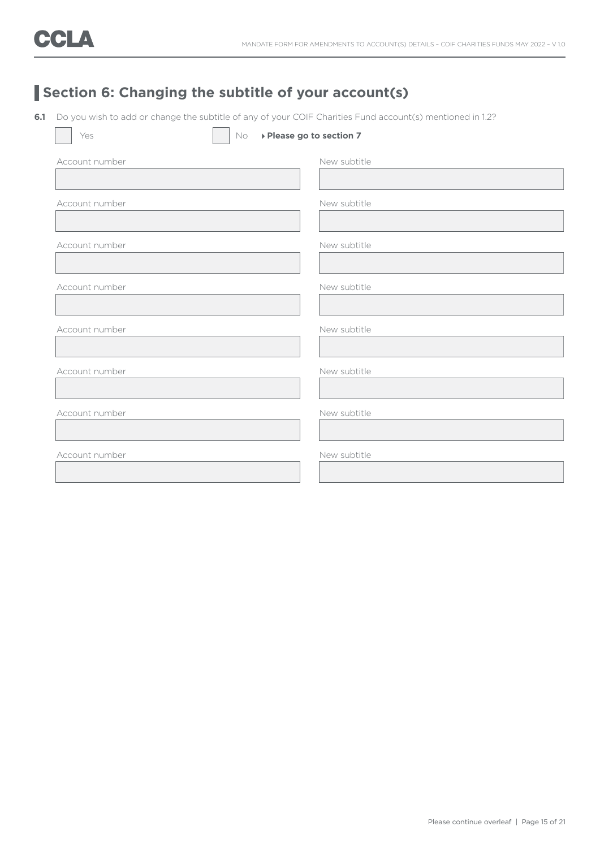### **Section 6: Changing the subtitle of your account(s)**

**6.1** Do you wish to add or change the subtitle of any of your COIF Charities Fund account(s) mentioned in 1.2?

| Yes            | No<br>▶ Please go to section 7 |
|----------------|--------------------------------|
| Account number | New subtitle                   |
|                |                                |
| Account number | New subtitle                   |
|                |                                |
| Account number | New subtitle                   |
|                |                                |
| Account number | New subtitle                   |
|                |                                |
| Account number | New subtitle                   |
|                |                                |
| Account number | New subtitle                   |
|                |                                |
| Account number | New subtitle                   |
|                |                                |
| Account number | New subtitle                   |
|                |                                |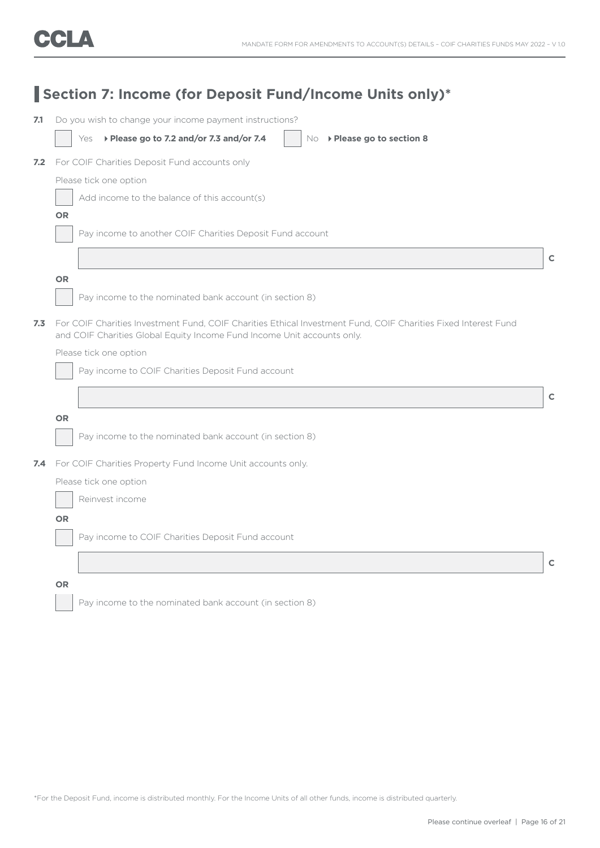|     |                        | Section 7: Income (for Deposit Fund/Income Units only)*                                                                                                                                   |              |
|-----|------------------------|-------------------------------------------------------------------------------------------------------------------------------------------------------------------------------------------|--------------|
| 7.1 |                        | Do you wish to change your income payment instructions?                                                                                                                                   |              |
|     | Yes                    | ▶ Please go to 7.2 and/or 7.3 and/or 7.4<br>$No \rightarrow$ Please go to section 8                                                                                                       |              |
| 7.2 |                        | For COIF Charities Deposit Fund accounts only                                                                                                                                             |              |
|     | Please tick one option |                                                                                                                                                                                           |              |
|     |                        | Add income to the balance of this account(s)                                                                                                                                              |              |
|     | <b>OR</b>              |                                                                                                                                                                                           |              |
|     |                        | Pay income to another COIF Charities Deposit Fund account                                                                                                                                 |              |
|     |                        |                                                                                                                                                                                           | $\mathbf C$  |
|     | <b>OR</b>              |                                                                                                                                                                                           |              |
|     |                        | Pay income to the nominated bank account (in section 8)                                                                                                                                   |              |
| 7.3 |                        | For COIF Charities Investment Fund, COIF Charities Ethical Investment Fund, COIF Charities Fixed Interest Fund<br>and COIF Charities Global Equity Income Fund Income Unit accounts only. |              |
|     | Please tick one option |                                                                                                                                                                                           |              |
|     |                        | Pay income to COIF Charities Deposit Fund account                                                                                                                                         |              |
|     |                        |                                                                                                                                                                                           | $\mathsf{C}$ |
|     | <b>OR</b>              |                                                                                                                                                                                           |              |
|     |                        | Pay income to the nominated bank account (in section 8)                                                                                                                                   |              |
| 7.4 |                        | For COIF Charities Property Fund Income Unit accounts only.                                                                                                                               |              |
|     | Please tick one option |                                                                                                                                                                                           |              |
|     | Reinvest income        |                                                                                                                                                                                           |              |
|     | <b>OR</b>              |                                                                                                                                                                                           |              |
|     |                        | Pay income to COIF Charities Deposit Fund account                                                                                                                                         |              |
|     |                        |                                                                                                                                                                                           |              |
|     |                        |                                                                                                                                                                                           | $\mathsf{C}$ |
|     | <b>OR</b>              |                                                                                                                                                                                           |              |
|     |                        | Pay income to the nominated bank account (in section 8)                                                                                                                                   |              |

\*For the Deposit Fund, income is distributed monthly. For the Income Units of all other funds, income is distributed quarterly.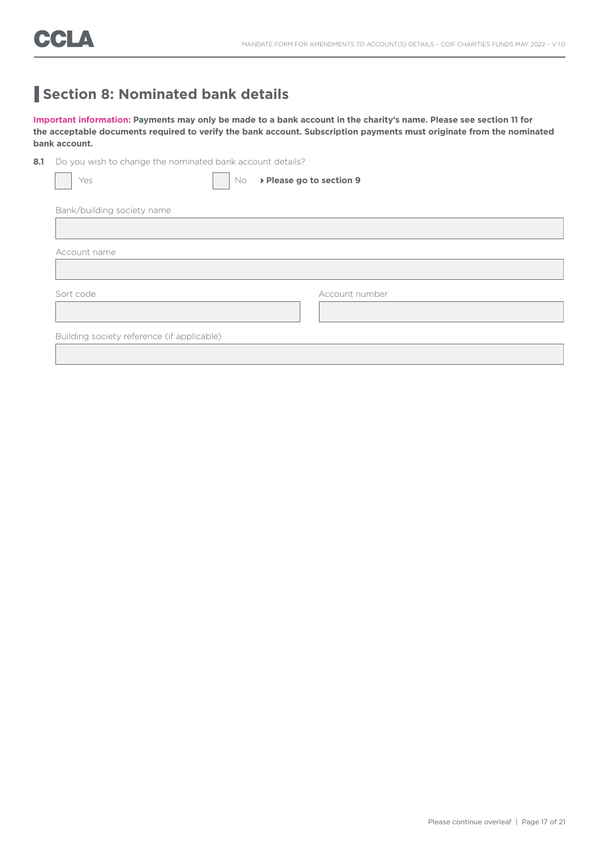### **Section 8: Nominated bank details**

**Important information: Payments may only be made to a bank account in the charity's name. Please see section 11 for the acceptable documents required to verify the bank account. Subscription payments must originate from the nominated bank account.**

8.1 Do you wish to change the nominated bank account details?

| Yes                                        | No. | ▶ Please go to section 9 |
|--------------------------------------------|-----|--------------------------|
| Bank/building society name                 |     |                          |
|                                            |     |                          |
| Account name                               |     |                          |
|                                            |     |                          |
| Sort code                                  |     | Account number           |
|                                            |     |                          |
| Building society reference (if applicable) |     |                          |
|                                            |     |                          |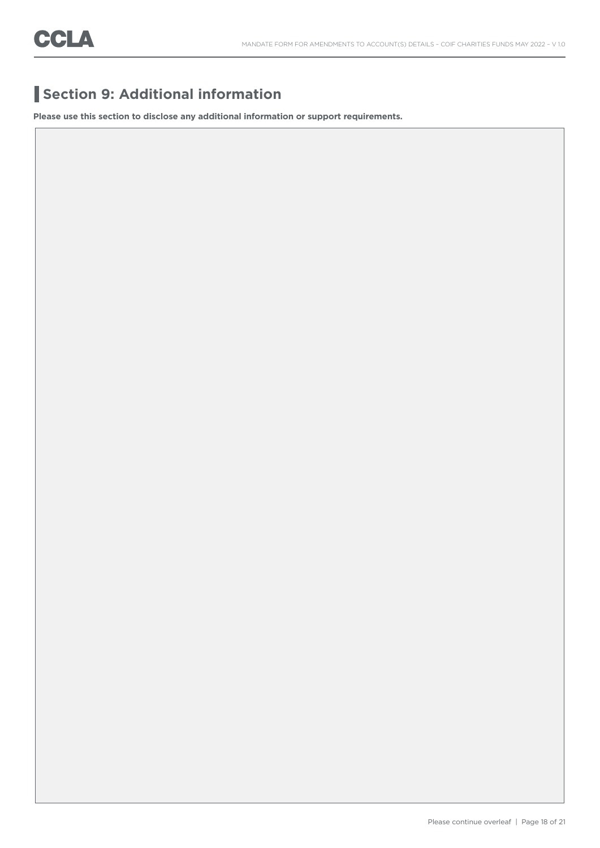### **Section 9: Additional information**

**Please use this section to disclose any additional information or support requirements.**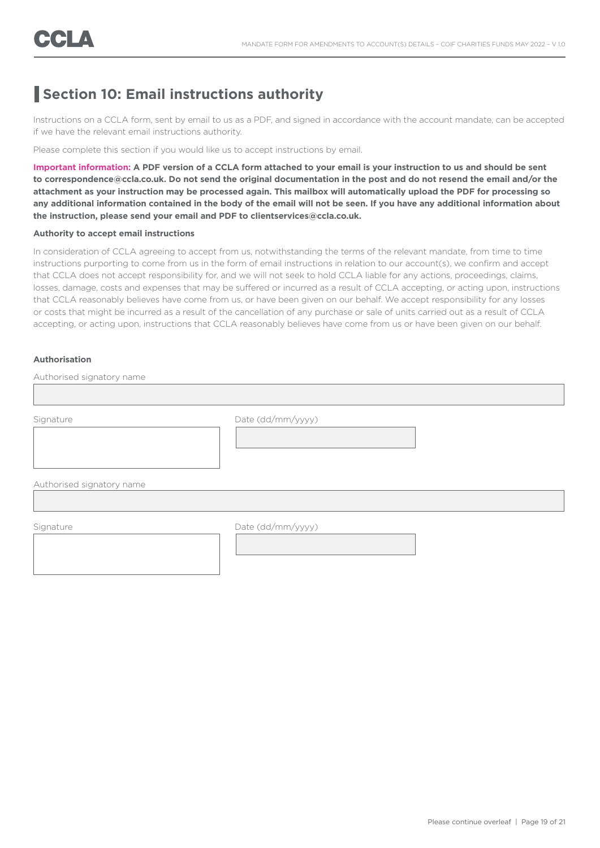### **Section 10: Email instructions authority**

Instructions on a CCLA form, sent by email to us as a PDF, and signed in accordance with the account mandate, can be accepted if we have the relevant email instructions authority.

Please complete this section if you would like us to accept instructions by email.

**Important information: A PDF version of a CCLA form attached to your email is your instruction to us and should be sent to correspondence@ccla.co.uk. Do not send the original documentation in the post and do not resend the email and/or the attachment as your instruction may be processed again. This mailbox will automatically upload the PDF for processing so any additional information contained in the body of the email will not be seen. If you have any additional information about the instruction, please send your email and PDF to clientservices@ccla.co.uk.**

#### **Authority to accept email instructions**

In consideration of CCLA agreeing to accept from us, notwithstanding the terms of the relevant mandate, from time to time instructions purporting to come from us in the form of email instructions in relation to our account(s), we confirm and accept that CCLA does not accept responsibility for, and we will not seek to hold CCLA liable for any actions, proceedings, claims, losses, damage, costs and expenses that may be suffered or incurred as a result of CCLA accepting, or acting upon, instructions that CCLA reasonably believes have come from us, or have been given on our behalf. We accept responsibility for any losses or costs that might be incurred as a result of the cancellation of any purchase or sale of units carried out as a result of CCLA accepting, or acting upon, instructions that CCLA reasonably believes have come from us or have been given on our behalf.

#### **Authorisation**

Authorised signatory name

Signature Date (dd/mm/yyyy)

Authorised signatory name

Signature Date (dd/mm/yyyy)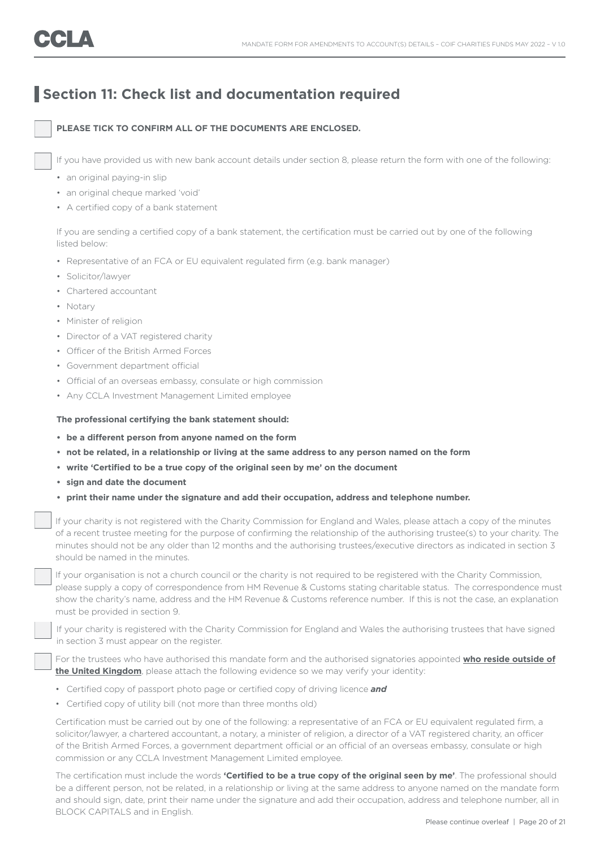### **Section 11: Check list and documentation required**

#### **PLEASE TICK TO CONFIRM ALL OF THE DOCUMENTS ARE ENCLOSED.**

If you have provided us with new bank account details under section 8, please return the form with one of the following:

- an original paying-in slip
- an original cheque marked 'void'
- A certified copy of a bank statement

 If you are sending a certified copy of a bank statement, the certification must be carried out by one of the following listed below:

- Representative of an FCA or EU equivalent regulated firm (e.g. bank manager)
- Solicitor/lawyer
- Chartered accountant
- Notary
- Minister of religion
- Director of a VAT registered charity
- Officer of the British Armed Forces
- Government department official
- Official of an overseas embassy, consulate or high commission
- Any CCLA Investment Management Limited employee

### **The professional certifying the bank statement should:**

- **• be a different person from anyone named on the form**
- **• not be related, in a relationship or living at the same address to any person named on the form**
- **• write 'Certified to be a true copy of the original seen by me' on the document**
- **• sign and date the document**
- **• print their name under the signature and add their occupation, address and telephone number.**

 If your charity is not registered with the Charity Commission for England and Wales, please attach a copy of the minutes of a recent trustee meeting for the purpose of confirming the relationship of the authorising trustee(s) to your charity. The minutes should not be any older than 12 months and the authorising trustees/executive directors as indicated in section 3 should be named in the minutes.

If your organisation is not a church council or the charity is not required to be registered with the Charity Commission, please supply a copy of correspondence from HM Revenue & Customs stating charitable status. The correspondence must show the charity's name, address and the HM Revenue & Customs reference number. If this is not the case, an explanation must be provided in section 9.

 If your charity is registered with the Charity Commission for England and Wales the authorising trustees that have signed in section 3 must appear on the register.

 For the trustees who have authorised this mandate form and the authorised signatories appointed **who reside outside of the United Kingdom**, please attach the following evidence so we may verify your identity:

- Certified copy of passport photo page or certified copy of driving licence *and*
- Certified copy of utility bill (not more than three months old)

 Certification must be carried out by one of the following: a representative of an FCA or EU equivalent regulated firm, a solicitor/lawyer, a chartered accountant, a notary, a minister of religion, a director of a VAT registered charity, an officer of the British Armed Forces, a government department official or an official of an overseas embassy, consulate or high commission or any CCLA Investment Management Limited employee.

 The certification must include the words **'Certified to be a true copy of the original seen by me'**. The professional should be a different person, not be related, in a relationship or living at the same address to anyone named on the mandate form and should sign, date, print their name under the signature and add their occupation, address and telephone number, all in BLOCK CAPITALS and in English.